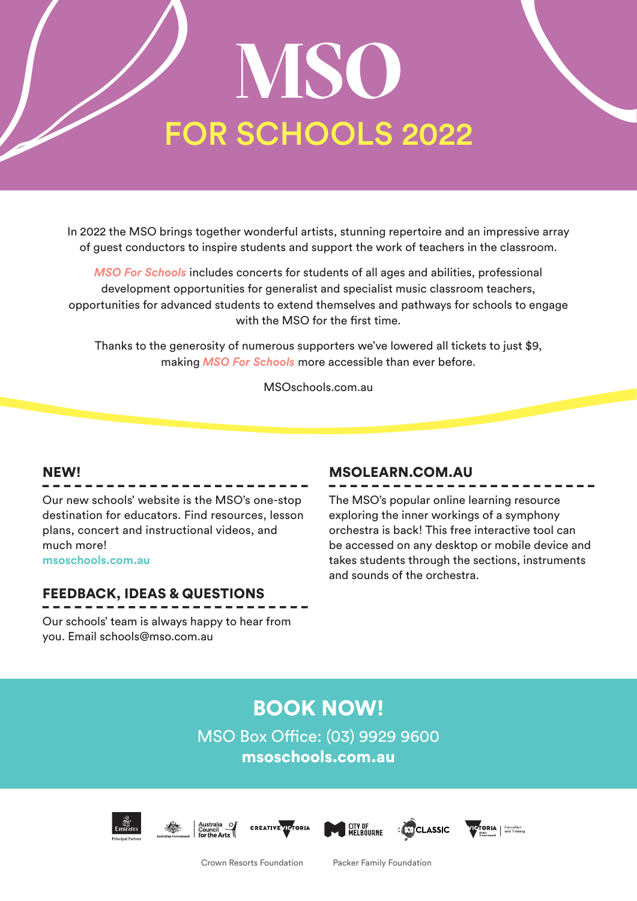# MSO FOR SCHOOLS 2022

In 2022 the MSO brings together wonderful artists, stunning repertoire and an impressive array of guest conductors to inspire students and support the work of teachers in the classroom.

*MSO For Schools* includes concerts for students of all ages and abilities, professional development opportunities for generalist and specialist music classroom teachers, opportunities for advanced students to extend themselves and pathways for schools to engage with the MSO for the first time.

Thanks to the generosity of numerous supporters we've lowered all tickets to just \$9, making *MSO For Schools* more accessible than ever before.

MSOschools.com.au

# NEW!

Our new schools' website is the MSO's one-stop destination for educators. Find resources, lesson plans, concert and instructional videos, and much more! **msoschools.com.au**

# FEEDBACK, IDEAS & QUESTIONS

Our schools' team is always happy to hear from you. Email schools@mso.com.au

# MSOLEARN.COM.AU

The MSO's popular online learning resource exploring the inner workings of a symphony orchestra is back! This free interactive tool can be accessed on any desktop or mobile device and takes students through the sections, instruments and sounds of the orchestra.

# BOOK NOW!

MSO Box Office: (03) 9929 9600 msoschools.com.au











Crown Resorts Foundation Packer Family Foundation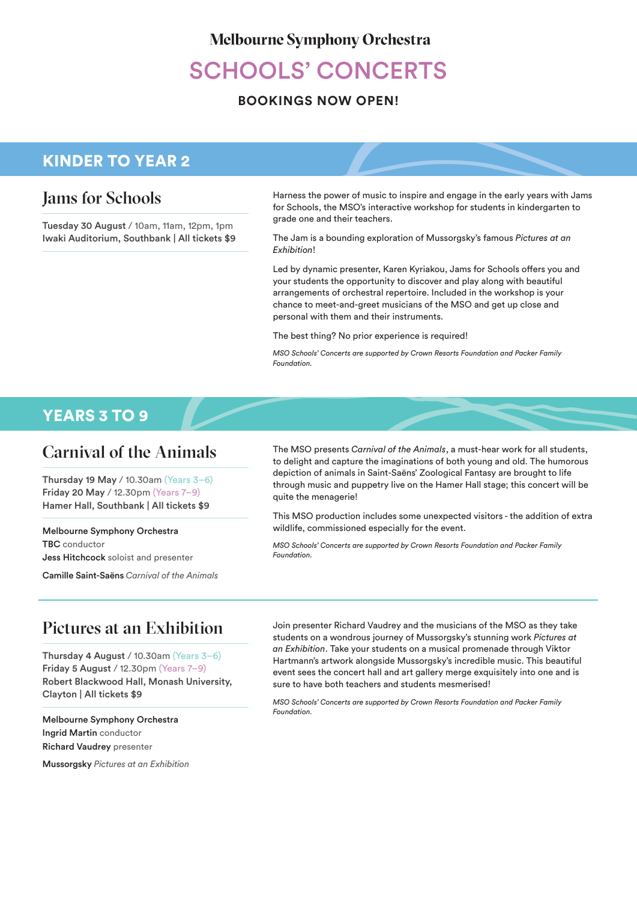#### **Melbourne Symphony Orchestra**

# SCHOOLS' CONCERTS

### **BOOKINGS NOW OPEN!**

# KINDER TO YEAR 2

# Jams for Schools

Tuesday 30 August / 10am, 11am, 12pm, 1pm Iwaki Auditorium, Southbank | All tickets \$9 Harness the power of music to inspire and engage in the early years with Jams for Schools, the MSO's interactive workshop for students in kindergarten to grade one and their teachers.

The Jam is a bounding exploration of Mussorgsky's famous *Pictures at an Exhibition*!

Led by dynamic presenter, Karen Kyriakou, Jams for Schools offers you and your students the opportunity to discover and play along with beautiful arrangements of orchestral repertoire. Included in the workshop is your chance to meet-and-greet musicians of the MSO and get up close and personal with them and their instruments.

The best thing? No prior experience is required!

*MSO Schools' Concerts are supported by Crown Resorts Foundation and Packer Family Foundation.* 

# YEARS 3 TO 9

# Carnival of the Animals

Thursday 19 May / 10.30am (Years 3–6) Friday 20 May / 12.30pm (Years 7–9) Hamer Hall, Southbank | All tickets \$9

Melbourne Symphony Orchestra TBC conductor Jess Hitchcock soloist and presenter

Camille Saint-Saëns *Carnival of the Animals* 

The MSO presents *Carnival of the Animals*, a must-hear work for all students, to delight and capture the imaginations of both young and old. The humorous depiction of animals in Saint-Saëns' Zoological Fantasy are brought to life through music and puppetry live on the Hamer Hall stage; this concert will be quite the menagerie!

This MSO production includes some unexpected visitors - the addition of extra wildlife, commissioned especially for the event.

*MSO Schools' Concerts are supported by Crown Resorts Foundation and Packer Family Foundation.*

# Pictures at an Exhibition

Thursday 4 August / 10.30am (Years 3–6) Friday 5 August / 12.30pm (Years 7–9) Robert Blackwood Hall, Monash University, Clayton | All tickets \$9

Melbourne Symphony Orchestra Ingrid Martin conductor Richard Vaudrey presenter

Mussorgsky *Pictures at an Exhibition*

Join presenter Richard Vaudrey and the musicians of the MSO as they take students on a wondrous journey of Mussorgsky's stunning work *Pictures at an Exhibition*. Take your students on a musical promenade through Viktor Hartmann's artwork alongside Mussorgsky's incredible music. This beautiful event sees the concert hall and art gallery merge exquisitely into one and is sure to have both teachers and students mesmerised!

*MSO Schools' Concerts are supported by Crown Resorts Foundation and Packer Family Foundation.*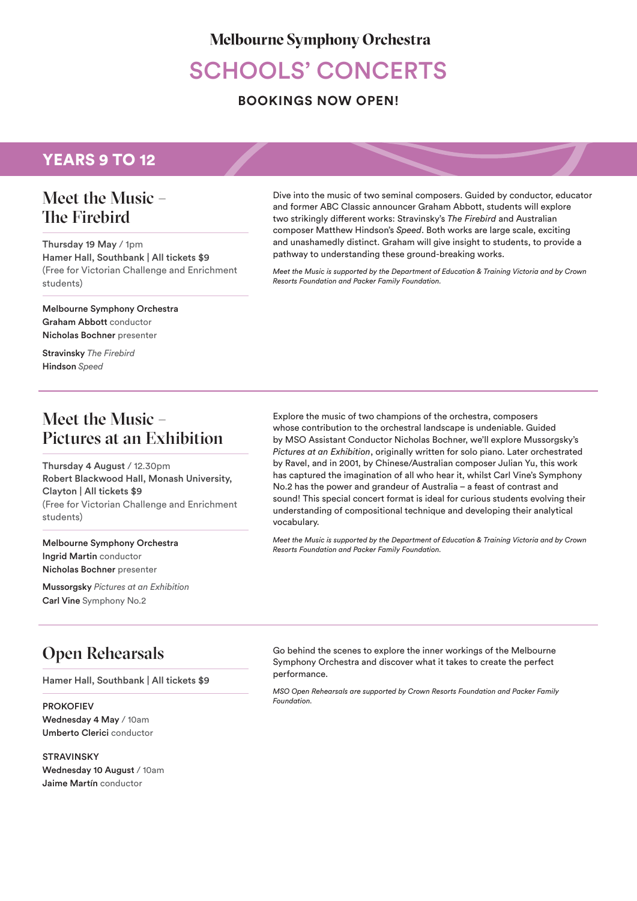#### **Melbourne Symphony Orchestra**

# SCHOOLS' CONCERTS

#### **BOOKINGS NOW OPEN!**

# YEARS 9 TO 12

# Meet the Music – The Firebird

Thursday 19 May / 1pm Hamer Hall, Southbank | All tickets \$9 (Free for Victorian Challenge and Enrichment students)

Melbourne Symphony Orchestra Graham Abbott conductor Nicholas Bochner presenter

Stravinsky *The Firebird* Hindson *Speed*

# Meet the Music – Pictures at an Exhibition

Thursday 4 August / 12.30pm Robert Blackwood Hall, Monash University, Clayton | All tickets \$9 (Free for Victorian Challenge and Enrichment students)

Melbourne Symphony Orchestra Ingrid Martin conductor Nicholas Bochner presenter

Mussorgsky *Pictures at an Exhibition* Carl Vine Symphony No.2

Dive into the music of two seminal composers. Guided by conductor, educator and former ABC Classic announcer Graham Abbott, students will explore two strikingly different works: Stravinsky's *The Firebird* and Australian composer Matthew Hindson's *Speed*. Both works are large scale, exciting and unashamedly distinct. Graham will give insight to students, to provide a pathway to understanding these ground-breaking works.

*Meet the Music is supported by the Department of Education & Training Victoria and by Crown Resorts Foundation and Packer Family Foundation.* 

Explore the music of two champions of the orchestra, composers whose contribution to the orchestral landscape is undeniable. Guided by MSO Assistant Conductor Nicholas Bochner, we'll explore Mussorgsky's *Pictures at an Exhibition*, originally written for solo piano. Later orchestrated by Ravel, and in 2001, by Chinese/Australian composer Julian Yu, this work has captured the imagination of all who hear it, whilst Carl Vine's Symphony No.2 has the power and grandeur of Australia – a feast of contrast and sound! This special concert format is ideal for curious students evolving their understanding of compositional technique and developing their analytical vocabulary.

*Meet the Music is supported by the Department of Education & Training Victoria and by Crown Resorts Foundation and Packer Family Foundation.* 

# Open Rehearsals

Hamer Hall, Southbank | All tickets \$9

PROKOFIEV Wednesday 4 May / 10am Umberto Clerici conductor

**STRAVINSKY** Wednesday 10 August / 10am Jaime Martín conductor

Go behind the scenes to explore the inner workings of the Melbourne Symphony Orchestra and discover what it takes to create the perfect performance.

*MSO Open Rehearsals are supported by Crown Resorts Foundation and Packer Family Foundation.*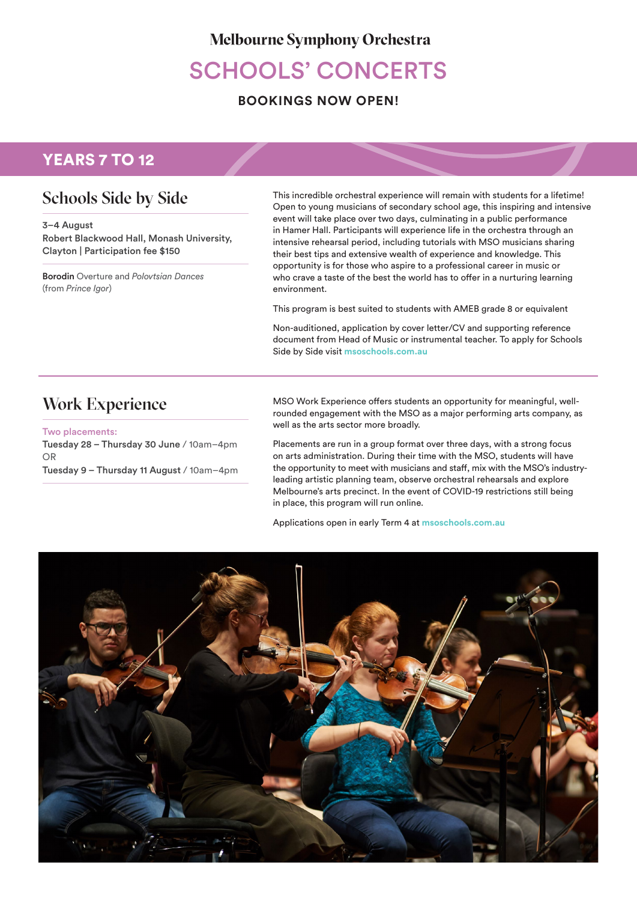### **Melbourne Symphony Orchestra**

# SCHOOLS' CONCERTS

#### **BOOKINGS NOW OPEN!**

# YEARS 7 TO 12

# Schools Side by Side

3–4 August Robert Blackwood Hall, Monash University, Clayton | Participation fee \$150

Borodin Overture and *Polovtsian Dances*  (from *Prince Igor*)

This incredible orchestral experience will remain with students for a lifetime! Open to young musicians of secondary school age, this inspiring and intensive event will take place over two days, culminating in a public performance in Hamer Hall. Participants will experience life in the orchestra through an intensive rehearsal period, including tutorials with MSO musicians sharing their best tips and extensive wealth of experience and knowledge. This opportunity is for those who aspire to a professional career in music or who crave a taste of the best the world has to offer in a nurturing learning environment.

This program is best suited to students with AMEB grade 8 or equivalent

Non-auditioned, application by cover letter/CV and supporting reference document from Head of Music or instrumental teacher. To apply for Schools Side by Side visit **msoschools.com.au**

# Work Experience

Two placements: Tuesday 28 – Thursday 30 June / 10am–4pm OR Tuesday 9 – Thursday 11 August / 10am–4pm MSO Work Experience offers students an opportunity for meaningful, wellrounded engagement with the MSO as a major performing arts company, as well as the arts sector more broadly.

Placements are run in a group format over three days, with a strong focus on arts administration. During their time with the MSO, students will have the opportunity to meet with musicians and staff, mix with the MSO's industryleading artistic planning team, observe orchestral rehearsals and explore Melbourne's arts precinct. In the event of COVID-19 restrictions still being in place, this program will run online.

Applications open in early Term 4 at **msoschools.com.au**